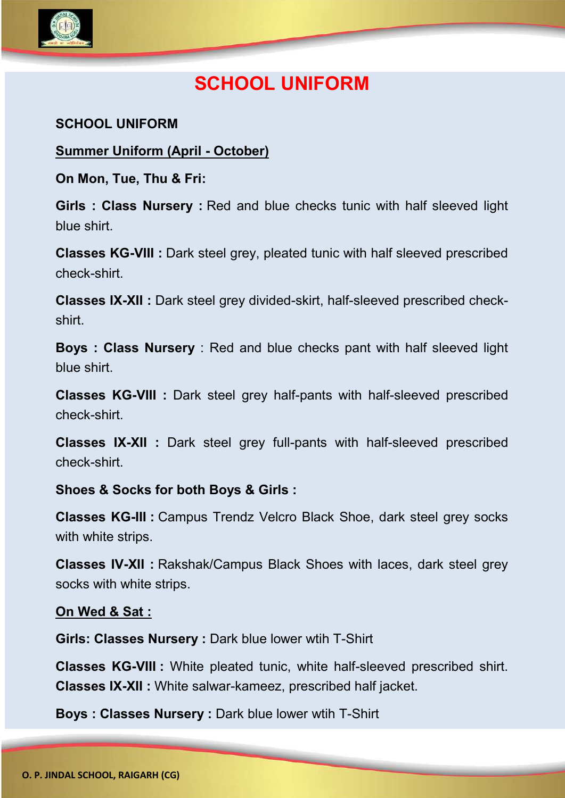

# **SCHOOL UNIFORM**

### **SCHOOL UNIFORM**

#### **Summer Uniform (April - October)**

**On Mon, Tue, Thu & Fri:**

**Girls : Class Nursery :** Red and blue checks tunic with half sleeved light blue shirt.

**Classes KG-VIII :** Dark steel grey, pleated tunic with half sleeved prescribed check-shirt.

**Classes IX-XII :** Dark steel grey divided-skirt, half-sleeved prescribed checkshirt.

**Boys : Class Nursery** : Red and blue checks pant with half sleeved light blue shirt.

**Classes KG-VIII :** Dark steel grey half-pants with half-sleeved prescribed check-shirt.

**Classes IX-XII :** Dark steel grey full-pants with half-sleeved prescribed check-shirt.

#### **Shoes & Socks for both Boys & Girls :**

**Classes KG-III :** Campus Trendz Velcro Black Shoe, dark steel grey socks with white strips.

**Classes IV-XII :** Rakshak/Campus Black Shoes with laces, dark steel grey socks with white strips.

#### **On Wed & Sat :**

**Girls: Classes Nursery :** Dark blue lower wtih T-Shirt

**Classes KG-VIII :** White pleated tunic, white half-sleeved prescribed shirt. **Classes IX-XII :** White salwar-kameez, prescribed half jacket.

**Boys : Classes Nursery :** Dark blue lower wtih T-Shirt